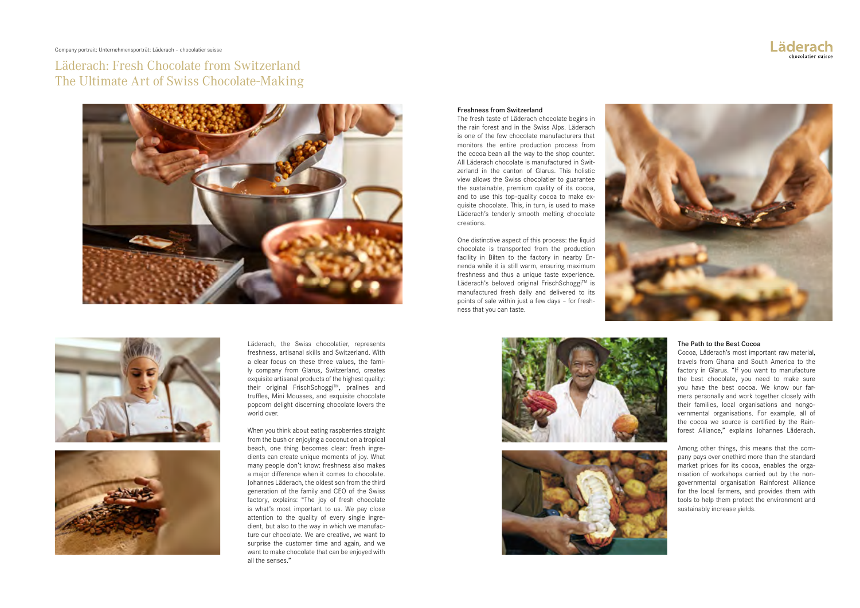Company portrait: Unternehmensporträt: Läderach – chocolatier suisse

Läderach: Fresh Chocolate from Switzerland The Ultimate Art of Swiss Chocolate-Making







Läderach, the Swiss chocolatier, represents freshness, artisanal skills and Switzerland. With a clear focus on these three values, the family company from Glarus, Switzerland, creates exquisite artisanal products of the highest quality: their original FrischSchoggi™, pralines and truffles, Mini Mousses, and exquisite chocolate popcorn delight discerning chocolate lovers the world over.

When you think about eating raspberries straight from the bush or enjoying a coconut on a tropical beach, one thing becomes clear: fresh ingredients can create unique moments of joy. What many people don't know: freshness also makes a major difference when it comes to chocolate. Johannes Läderach, the oldest son from the third generation of the family and CEO of the Swiss factory, explains: "The joy of fresh chocolate is what's most important to us. We pay close attention to the quality of every single ingredient, but also to the way in which we manufacture our chocolate. We are creative, we want to surprise the customer time and again, and we want to make chocolate that can be enjoyed with all the senses."

## Freshness from Switzerland

The fresh taste of Läderach chocolate begins in the rain forest and in the Swiss Alps. Läderach is one of the few chocolate manufacturers that monitors the entire production process from the cocoa bean all the way to the shop counter. All Läderach chocolate is manufactured in Switzerland in the canton of Glarus. This holistic view allows the Swiss chocolatier to guarantee the sustainable, premium quality of its cocoa, and to use this top-quality cocoa to make exquisite chocolate. This, in turn, is used to make Läderach's tenderly smooth melting chocolate creations.

One distinctive aspect of this process: the liquid chocolate is transported from the production facility in Bilten to the factory in nearby Ennenda while it is still warm, ensuring maximum freshness and thus a unique taste experience. Läderach's beloved original FrischSchoggi™ is manufactured fresh daily and delivered to its points of sale within just a few days – for freshness that you can taste.











## The Path to the Best Cocoa

Cocoa, Läderach's most important raw material, travels from Ghana and South America to the factory in Glarus. "If you want to manufacture the best chocolate, you need to make sure you have the best cocoa. We know our farmers personally and work together closely with their families, local organisations and nongovernmental organisations. For example, all of the cocoa we source is certified by the Rainforest Alliance," explains Johannes Läderach.



Among other things, this means that the company pays over onethird more than the standard market prices for its cocoa, enables the organisation of workshops carried out by the nongovernmental organisation Rainforest Alliance for the local farmers, and provides them with tools to help them protect the environment and sustainably increase yields.